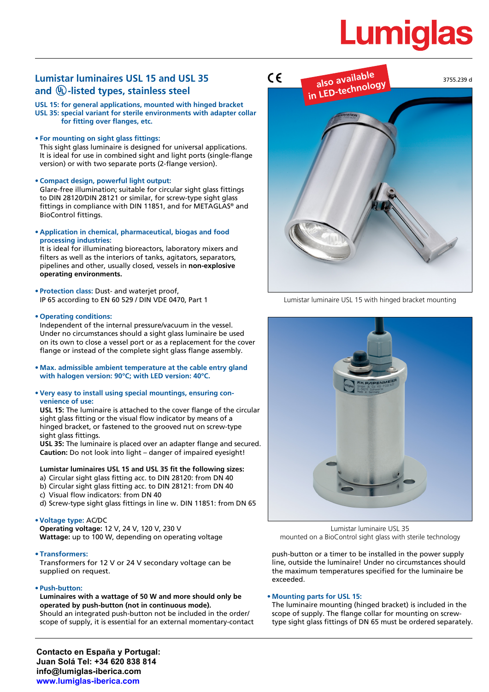# **Lumigla**

# **Lumistar luminaires USL 15 and USL 35**  Lumistar luminaires USL 15 and USL 35<br>and <sup>(II</sup>)-listed types, stainless steel<br>**Also available**

**USL 15: for general applications, mounted with hinged bracket USL 35: special variant for sterile environments with adapter collar for fitting over flanges, etc.**

### **• For mounting on sight glass fittings:**

This sight glass luminaire is designed for universal applications. It is ideal for use in combined sight and light ports (single-flange version) or with two separate ports (2-flange version).

**• Compact design, powerful light output:**

Glare-free illumination; suitable for circular sight glass fittings to DIN 28120/DIN 28121 or similar, for screw-type sight glass fittings in compliance with DIN 11851, and for METAGLAS® and BioControl fittings.

**• Application in chemical, pharmaceutical, biogas and food processing industries:**

It is ideal for illuminating bioreactors, laboratory mixers and filters as well as the interiors of tanks, agitators, separators, pipelines and other, usually closed, vessels in **non-explosive operating environments.**

**• Protection class:** Dust- and waterjet proof, IP 65 according to EN 60 529 / DIN VDE 0470, Part 1

### **• Operating conditions:**

Independent of the internal pressure/vacuum in the vessel. Under no circumstances should a sight glass luminaire be used on its own to close a vessel port or as a replacement for the cover flange or instead of the complete sight glass flange assembly.

- **• Max. admissible ambient temperature at the cable entry gland with halogen version: 90°C; with LED version: 40°C.**
- **• Very easy to install using special mountings, ensuring convenience of use:**

**USL 15:** The luminaire is attached to the cover flange of the circular sight glass fitting or the visual flow indicator by means of a hinged bracket, or fastened to the grooved nut on screw-type sight glass fittings.

**USL 35:** The luminaire is placed over an adapter flange and secured. **Caution:** Do not look into light – danger of impaired eyesight!

#### **Lumistar luminaires USL 15 and USL 35 fit the following sizes:**

- a) Circular sight glass fitting acc. to DIN 28120: from DN 40
- b) Circular sight glass fitting acc. to DIN 28121: from DN 40
- c) Visual flow indicators: from DN 40
- d) Screw-type sight glass fittings in line w. DIN 11851: from DN 65

# **•Voltage type:** AC/DC

**Operating voltage:** 12 V, 24 V, 120 V, 230 V **Wattage:** up to 100 W, depending on operating voltage

**• Transformers:**

Transformers for 12 V or 24 V secondary voltage can be supplied on request.

# **• Push-button:**

**Luminaires with a wattage of 50 W and more should only be operated by push-button (not in continuous mode).** Should an integrated push-button not be included in the order/

scope of supply, it is essential for an external momentary-contact



Lumistar luminaire USL 15 with hinged bracket mounting



Lumistar luminaire USL 35 mounted on a BioControl sight glass with sterile technology

push-button or a timer to be installed in the power supply line, outside the luminaire! Under no circumstances should the maximum temperatures specified for the luminaire be exceeded.

#### **• Mounting parts for USL 15:**

The luminaire mounting (hinged bracket) is included in the scope of supply. The flange collar for mounting on screwtype sight glass fittings of DN 65 must be ordered separately.

**Contacto en España y Portugal: Juan Solá Tel: +34 620 838 814 info@lumiglas-iberica.com www.lumiglas-iberica.com**